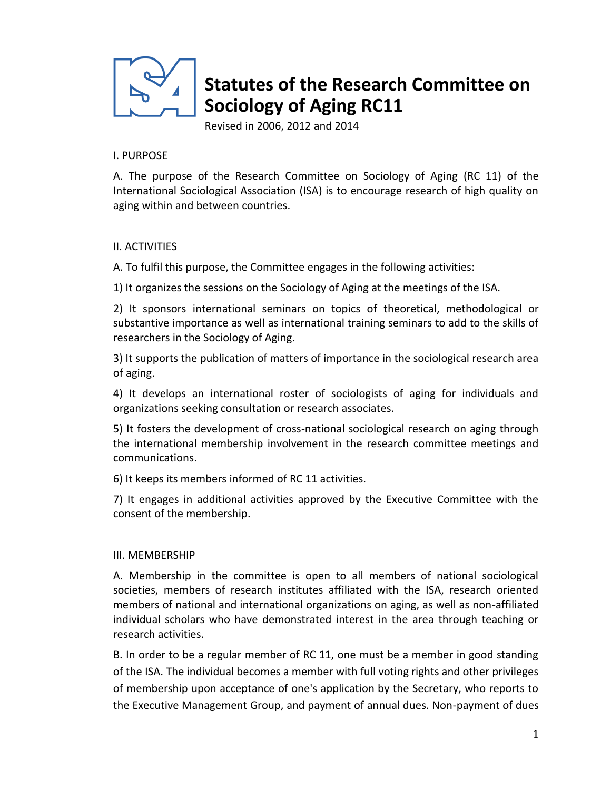

# **Statutes of the Research Committee on Sociology of Aging RC11**

Revised in 2006, 2012 and 2014

#### I. PURPOSE

A. The purpose of the Research Committee on Sociology of Aging (RC 11) of the International Sociological Association (ISA) is to encourage research of high quality on aging within and between countries.

## II. ACTIVITIES

A. To fulfil this purpose, the Committee engages in the following activities:

1) It organizes the sessions on the Sociology of Aging at the meetings of the ISA.

2) It sponsors international seminars on topics of theoretical, methodological or substantive importance as well as international training seminars to add to the skills of researchers in the Sociology of Aging.

3) It supports the publication of matters of importance in the sociological research area of aging.

4) It develops an international roster of sociologists of aging for individuals and organizations seeking consultation or research associates.

5) It fosters the development of cross-national sociological research on aging through the international membership involvement in the research committee meetings and communications.

6) It keeps its members informed of RC 11 activities.

7) It engages in additional activities approved by the Executive Committee with the consent of the membership.

## III. MEMBERSHIP

A. Membership in the committee is open to all members of national sociological societies, members of research institutes affiliated with the ISA, research oriented members of national and international organizations on aging, as well as non-affiliated individual scholars who have demonstrated interest in the area through teaching or research activities.

B. In order to be a regular member of RC 11, one must be a member in good standing of the ISA. The individual becomes a member with full voting rights and other privileges of membership upon acceptance of one's application by the Secretary, who reports to the Executive Management Group, and payment of annual dues. Non-payment of dues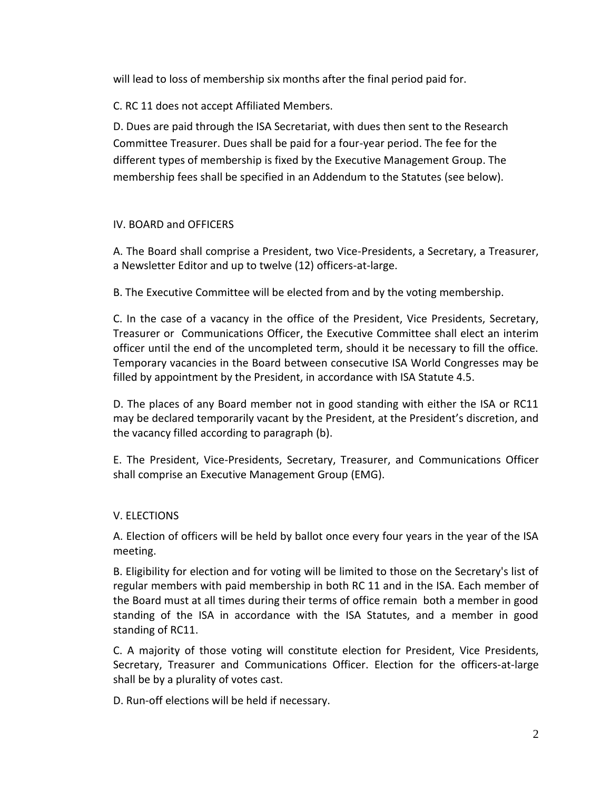will lead to loss of membership six months after the final period paid for.

C. RC 11 does not accept Affiliated Members.

D. Dues are paid through the ISA Secretariat, with dues then sent to the Research Committee Treasurer. Dues shall be paid for a four-year period. The fee for the different types of membership is fixed by the Executive Management Group. The membership fees shall be specified in an Addendum to the Statutes (see below).

# IV. BOARD and OFFICERS

A. The Board shall comprise a President, two Vice-Presidents, a Secretary, a Treasurer, a Newsletter Editor and up to twelve (12) officers-at-large.

B. The Executive Committee will be elected from and by the voting membership.

C. In the case of a vacancy in the office of the President, Vice Presidents, Secretary, Treasurer or Communications Officer, the Executive Committee shall elect an interim officer until the end of the uncompleted term, should it be necessary to fill the office. Temporary vacancies in the Board between consecutive ISA World Congresses may be filled by appointment by the President, in accordance with ISA Statute 4.5.

D. The places of any Board member not in good standing with either the ISA or RC11 may be declared temporarily vacant by the President, at the President's discretion, and the vacancy filled according to paragraph (b).

E. The President, Vice-Presidents, Secretary, Treasurer, and Communications Officer shall comprise an Executive Management Group (EMG).

# V. ELECTIONS

A. Election of officers will be held by ballot once every four years in the year of the ISA meeting.

B. Eligibility for election and for voting will be limited to those on the Secretary's list of regular members with paid membership in both RC 11 and in the ISA. Each member of the Board must at all times during their terms of office remain both a member in good standing of the ISA in accordance with the ISA Statutes, and a member in good standing of RC11.

C. A majority of those voting will constitute election for President, Vice Presidents, Secretary, Treasurer and Communications Officer. Election for the officers-at-large shall be by a plurality of votes cast.

D. Run-off elections will be held if necessary.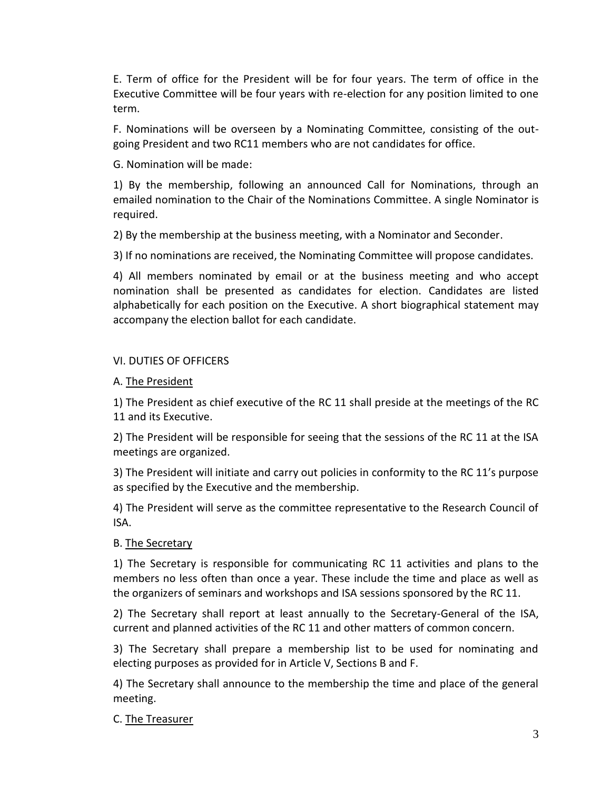E. Term of office for the President will be for four years. The term of office in the Executive Committee will be four years with re-election for any position limited to one term.

F. Nominations will be overseen by a Nominating Committee, consisting of the outgoing President and two RC11 members who are not candidates for office.

G. Nomination will be made:

1) By the membership, following an announced Call for Nominations, through an emailed nomination to the Chair of the Nominations Committee. A single Nominator is required.

2) By the membership at the business meeting, with a Nominator and Seconder.

3) If no nominations are received, the Nominating Committee will propose candidates.

4) All members nominated by email or at the business meeting and who accept nomination shall be presented as candidates for election. Candidates are listed alphabetically for each position on the Executive. A short biographical statement may accompany the election ballot for each candidate.

# VI. DUTIES OF OFFICERS

# A. The President

1) The President as chief executive of the RC 11 shall preside at the meetings of the RC 11 and its Executive.

2) The President will be responsible for seeing that the sessions of the RC 11 at the ISA meetings are organized.

3) The President will initiate and carry out policies in conformity to the RC 11's purpose as specified by the Executive and the membership.

4) The President will serve as the committee representative to the Research Council of ISA.

# B. The Secretary

1) The Secretary is responsible for communicating RC 11 activities and plans to the members no less often than once a year. These include the time and place as well as the organizers of seminars and workshops and ISA sessions sponsored by the RC 11.

2) The Secretary shall report at least annually to the Secretary-General of the ISA, current and planned activities of the RC 11 and other matters of common concern.

3) The Secretary shall prepare a membership list to be used for nominating and electing purposes as provided for in Article V, Sections B and F.

4) The Secretary shall announce to the membership the time and place of the general meeting.

## C. The Treasurer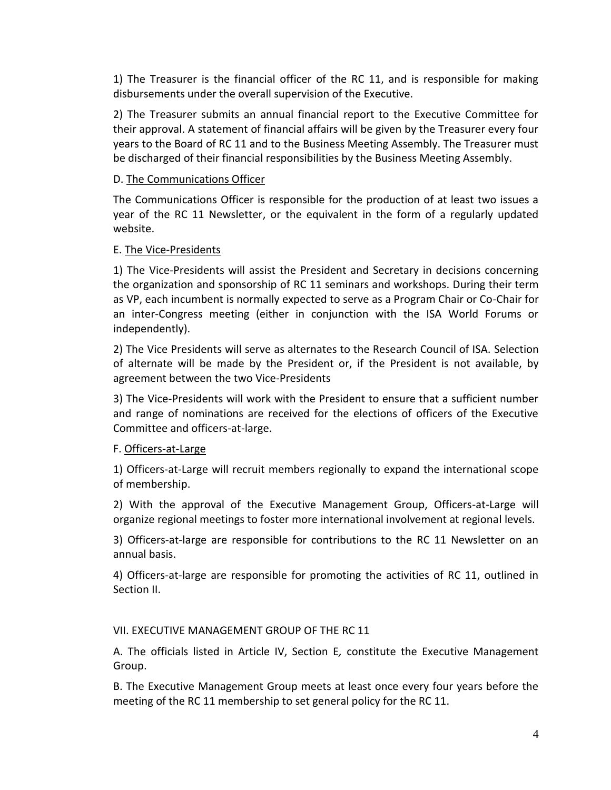1) The Treasurer is the financial officer of the RC 11, and is responsible for making disbursements under the overall supervision of the Executive.

2) The Treasurer submits an annual financial report to the Executive Committee for their approval. A statement of financial affairs will be given by the Treasurer every four years to the Board of RC 11 and to the Business Meeting Assembly. The Treasurer must be discharged of their financial responsibilities by the Business Meeting Assembly.

#### D. The Communications Officer

The Communications Officer is responsible for the production of at least two issues a year of the RC 11 Newsletter, or the equivalent in the form of a regularly updated website.

#### E. The Vice-Presidents

1) The Vice-Presidents will assist the President and Secretary in decisions concerning the organization and sponsorship of RC 11 seminars and workshops. During their term as VP, each incumbent is normally expected to serve as a Program Chair or Co-Chair for an inter-Congress meeting (either in conjunction with the ISA World Forums or independently).

2) The Vice Presidents will serve as alternates to the Research Council of ISA. Selection of alternate will be made by the President or, if the President is not available, by agreement between the two Vice-Presidents

3) The Vice-Presidents will work with the President to ensure that a sufficient number and range of nominations are received for the elections of officers of the Executive Committee and officers-at-large.

#### F. Officers-at-Large

1) Officers-at-Large will recruit members regionally to expand the international scope of membership.

2) With the approval of the Executive Management Group, Officers-at-Large will organize regional meetings to foster more international involvement at regional levels.

3) Officers-at-large are responsible for contributions to the RC 11 Newsletter on an annual basis.

4) Officers-at-large are responsible for promoting the activities of RC 11, outlined in Section II.

#### VII. EXECUTIVE MANAGEMENT GROUP OF THE RC 11

A. The officials listed in Article IV, Section E*,* constitute the Executive Management Group.

B. The Executive Management Group meets at least once every four years before the meeting of the RC 11 membership to set general policy for the RC 11.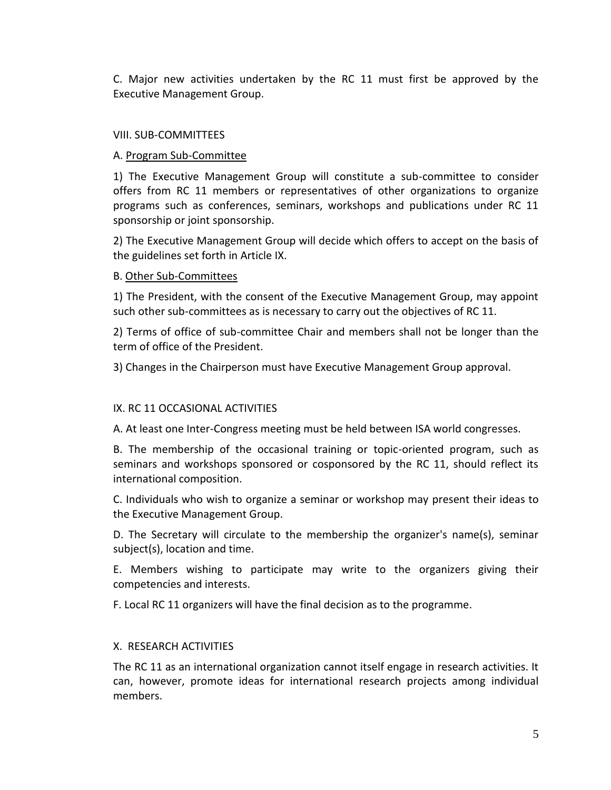C. Major new activities undertaken by the RC 11 must first be approved by the Executive Management Group.

#### VIII. SUB-COMMITTEES

### A. Program Sub-Committee

1) The Executive Management Group will constitute a sub-committee to consider offers from RC 11 members or representatives of other organizations to organize programs such as conferences, seminars, workshops and publications under RC 11 sponsorship or joint sponsorship.

2) The Executive Management Group will decide which offers to accept on the basis of the guidelines set forth in Article IX.

#### B. Other Sub-Committees

1) The President, with the consent of the Executive Management Group, may appoint such other sub-committees as is necessary to carry out the objectives of RC 11.

2) Terms of office of sub-committee Chair and members shall not be longer than the term of office of the President.

3) Changes in the Chairperson must have Executive Management Group approval.

## IX. RC 11 OCCASIONAL ACTIVITIES

A. At least one Inter-Congress meeting must be held between ISA world congresses.

B. The membership of the occasional training or topic-oriented program, such as seminars and workshops sponsored or cosponsored by the RC 11, should reflect its international composition.

C. Individuals who wish to organize a seminar or workshop may present their ideas to the Executive Management Group.

D. The Secretary will circulate to the membership the organizer's name(s), seminar subject(s), location and time.

E. Members wishing to participate may write to the organizers giving their competencies and interests.

F. Local RC 11 organizers will have the final decision as to the programme.

## X. RESEARCH ACTIVITIES

The RC 11 as an international organization cannot itself engage in research activities. It can, however, promote ideas for international research projects among individual members.